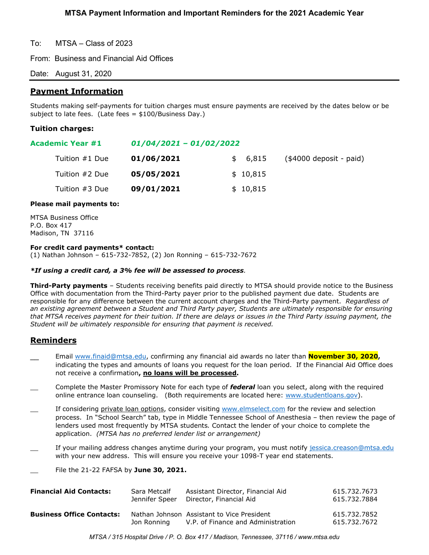To: MTSA – Class of 2023

From: Business and Financial Aid Offices

Date: August 31, 2020

# **Payment Information**

Students making self-payments for tuition charges must ensure payments are received by the dates below or be subject to late fees. (Late fees = \$100/Business Day.)

## **Tuition charges:**

## **Academic Year #1** *01/04/2021 – 01/02/2022*

| Tuition #1 Due | 01/06/2021 | \$ 6,815 | $($4000$ deposit - paid) |
|----------------|------------|----------|--------------------------|
| Tuition #2 Due | 05/05/2021 | \$10,815 |                          |
| Tuition #3 Due | 09/01/2021 | \$10,815 |                          |

## **Please mail payments to:**

MTSA Business Office P.O. Box 417 Madison, TN 37116

### **For credit card payments\* contact:**

(1) Nathan Johnson – 615-732-7852, (2) Jon Ronning – 615-732-7672

### *\*If using a credit card, a 3% fee will be assessed to process.*

**Third-Party payments** – Students receiving benefits paid directly to MTSA should provide notice to the Business Office with documentation from the Third-Party payer prior to the published payment due date. Students are responsible for any difference between the current account charges and the Third-Party payment. *Regardless of an existing agreement between a Student and Third Party payer, Students are ultimately responsible for ensuring that MTSA receives payment for their tuition. If there are delays or issues in the Third Party issuing payment, the Student will be ultimately responsible for ensuring that payment is received.*

# **Reminders**

- \_\_ Email [www.finaid@mtsa.edu,](http://www.finaid@mtsa.edu) confirming any financial aid awards no later than **November 30, 2020,** indicating the types and amounts of loans you request for the loan period. If the Financial Aid Office does not receive a confirmation**, no loans will be processed.**
- \_\_ Complete the Master Promissory Note for each type of *federal* loan you select, along with the required online entrance loan counseling. (Both requirements are located here: [www.studentloans.gov\)](http://www.studentloans.gov/).
- If considering private loan options, consider visiting [www.elmselect.com](http://www.elmselect.com/) for the review and selection process. In "School Search" tab, type in Middle Tennessee School of Anesthesia – then review the page of lenders used most frequently by MTSA students*.* Contact the lender of your choice to complete the application. *(MTSA has no preferred lender list or arrangement)*
- If your mailing address changes anytime during your program, you must notify [jessica.creason@mtsa.edu](mailto:jessica.creason@mtsa.edu) with your new address. This will ensure you receive your 1098-T year end statements.
- \_\_ File the 21-22 FAFSA by **June 30, 2021.**

| <b>Financial Aid Contacts:</b>   | Sara Metcalf   | Assistant Director, Financial Aid                                                | 615.732.7673                 |
|----------------------------------|----------------|----------------------------------------------------------------------------------|------------------------------|
|                                  | Jennifer Speer | Director, Financial Aid                                                          | 615.732.7884                 |
| <b>Business Office Contacts:</b> | Jon Ronning    | Nathan Johnson Assistant to Vice President<br>V.P. of Finance and Administration | 615.732.7852<br>615.732.7672 |

*MTSA / 315 Hospital Drive / P. O. Box 417 / Madison, Tennessee, 37116 / www.mtsa.edu*